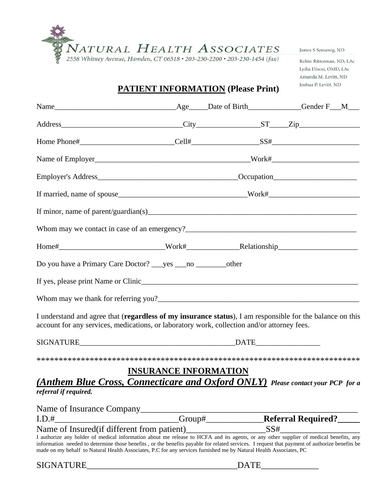

Robin Ritterman, ND, LAc Lydia Dixon, OMD, LAc Amanda M. Levitt, ND Joshua P. Levitt, ND

# **PATIENT INFORMATION (Please Print)**

| Do you have a Primary Care Doctor? _____ yes ___________________________other                                                                                                                            |  |  |
|----------------------------------------------------------------------------------------------------------------------------------------------------------------------------------------------------------|--|--|
| If yes, please print Name or Clinic                                                                                                                                                                      |  |  |
|                                                                                                                                                                                                          |  |  |
| I understand and agree that (regardless of my insurance status), I am responsible for the balance on this<br>account for any services, medications, or laboratory work, collection and/or attorney fees. |  |  |
|                                                                                                                                                                                                          |  |  |

\*\*\*\*\*\*\*\*\*\*\*\*\*\*\*\*\*\*\*\*\*\*\*\*\*\*\*\*\*\*\*\*\*\*\*\*\*\*\*\*\*\*\*\*\*\*\*\*\*\*\*\*\*\*\*\*\*\*\*\*\*\*\*\*\*\*\*\*\*\*\*\*\*

## **INSURANCE INFORMATION**

## *(Anthem Blue Cross, Connecticare and Oxford ONLY) Please contact your PCP for a referral if required.*

| Name of Insurance Company                   |                                                                                                                    |                                                                                                                                                                                                                                                                                        |
|---------------------------------------------|--------------------------------------------------------------------------------------------------------------------|----------------------------------------------------------------------------------------------------------------------------------------------------------------------------------------------------------------------------------------------------------------------------------------|
| I.D.#                                       | Group#                                                                                                             | <b>Referral Required?</b>                                                                                                                                                                                                                                                              |
| Name of Insured (if different from patient) |                                                                                                                    | SS#                                                                                                                                                                                                                                                                                    |
|                                             | made on my behalf to Natural Health Associates, P.C for any services furnished me by Natural Health Associates, PC | I authorize any holder of medical information about me release to HCFA and its agents, or any other supplier of medical benefits, any<br>information needed to determine those benefits, or the benefits payable for related services. I request that payment of authorize benefits be |
| <b>SIGNATURE</b>                            |                                                                                                                    | <b>DATE</b>                                                                                                                                                                                                                                                                            |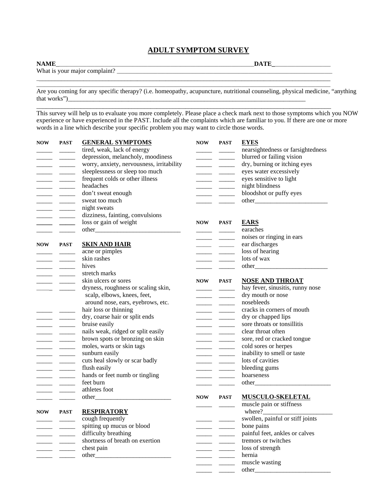#### **ADULT SYMPTOM SURVEY**

**NAME**\_\_\_\_\_\_\_\_\_\_\_\_\_\_\_\_\_\_\_\_\_\_\_\_\_\_\_\_\_\_\_\_\_\_\_\_\_\_\_\_\_\_\_\_\_\_\_\_\_\_\_\_\_\_\_\_\_\_\_\_\_\_\_\_\_\_\_\_\_\_\_\_\_\_\_\_\_\_**DATE\_**\_\_\_\_\_\_\_\_\_\_\_\_\_\_\_\_\_\_\_\_\_\_

What is your major complaint? \_\_\_\_\_\_\_\_\_\_\_\_\_\_\_\_\_\_\_\_\_\_\_\_\_\_\_\_\_\_\_\_\_\_\_\_\_\_\_\_\_\_\_\_\_\_\_\_\_\_\_\_\_\_\_\_\_\_\_\_\_\_\_\_\_\_\_\_\_\_\_\_\_\_\_\_\_\_\_\_\_\_\_\_\_

Are you coming for any specific therapy? (i.e. homeopathy, acupuncture, nutritional counseling, physical medicine, "anything that works")

 $\overline{\phantom{a}}$  , and the contribution of the contribution of the contribution of the contribution of the contribution of the contribution of the contribution of the contribution of the contribution of the contribution of the \_\_\_\_\_\_\_\_\_\_\_\_\_\_\_\_\_\_\_\_\_\_\_\_\_\_\_\_\_\_\_\_\_\_\_\_\_\_\_\_\_\_\_\_\_\_\_\_\_\_\_\_\_\_\_\_\_\_\_\_\_\_\_\_\_\_\_\_\_\_\_\_\_\_\_\_\_\_\_\_\_\_\_\_\_\_\_\_\_\_\_\_\_\_\_\_\_\_\_\_\_\_\_\_\_\_\_\_\_\_\_\_\_\_\_\_

\_\_\_\_\_\_\_\_\_\_\_\_\_\_\_\_\_\_\_\_\_\_\_\_\_\_\_\_\_\_\_\_\_\_\_\_\_\_\_\_\_\_\_\_\_\_\_\_\_\_\_\_\_\_\_\_\_\_\_\_\_\_\_\_\_\_\_\_\_\_\_\_\_\_\_\_\_\_\_\_\_\_\_\_\_\_\_\_\_\_\_\_\_

This survey will help us to evaluate you more completely. Please place a check mark next to those symptoms which you NOW experience or have experienced in the PAST. Include all the complaints which are familiar to you. If there are one or more words in a line which describe your specific problem you may want to circle those words.

| <b>NOW</b> | <b>PAST</b>                                                                                                                                                                                                                                                                                                                                                                                                                                                                              | <b>GENERAL SYMPTOMS</b>                   |            | NOW PAST                                                                                                                                                                                                                                                                                                                                                                                                                                                                                 | <b>EYES</b>                       |
|------------|------------------------------------------------------------------------------------------------------------------------------------------------------------------------------------------------------------------------------------------------------------------------------------------------------------------------------------------------------------------------------------------------------------------------------------------------------------------------------------------|-------------------------------------------|------------|------------------------------------------------------------------------------------------------------------------------------------------------------------------------------------------------------------------------------------------------------------------------------------------------------------------------------------------------------------------------------------------------------------------------------------------------------------------------------------------|-----------------------------------|
|            |                                                                                                                                                                                                                                                                                                                                                                                                                                                                                          | tired, weak, lack of energy               |            | $\frac{1}{1} \left( \frac{1}{1} \right) = \frac{1}{1} \left( \frac{1}{1} \right) = \frac{1}{1} \left( \frac{1}{1} \right) = \frac{1}{1} \left( \frac{1}{1} \right) = \frac{1}{1} \left( \frac{1}{1} \right) = \frac{1}{1} \left( \frac{1}{1} \right) = \frac{1}{1} \left( \frac{1}{1} \right) = \frac{1}{1} \left( \frac{1}{1} \right) = \frac{1}{1} \left( \frac{1}{1} \right) = \frac{1}{1} \left( \frac{1}{1} \right) = \frac{1}{1} \left($                                           | nearsightedness or farsightedness |
|            | $\frac{1}{2}$ and $\frac{1}{2}$                                                                                                                                                                                                                                                                                                                                                                                                                                                          | depression, melancholy, moodiness         |            |                                                                                                                                                                                                                                                                                                                                                                                                                                                                                          | blurred or failing vision         |
|            | $\begin{tabular}{ll} \multicolumn{1}{l}{} & \multicolumn{1}{l}{} & \multicolumn{1}{l}{} \\ \multicolumn{1}{l}{} & \multicolumn{1}{l}{} & \multicolumn{1}{l}{} \\ \multicolumn{1}{l}{} & \multicolumn{1}{l}{} & \multicolumn{1}{l}{} \\ \multicolumn{1}{l}{} & \multicolumn{1}{l}{} & \multicolumn{1}{l}{} \\ \multicolumn{1}{l}{} & \multicolumn{1}{l}{} & \multicolumn{1}{l}{} \\ \multicolumn{1}{l}{} & \multicolumn{1}{l}{} & \multicolumn{1}{l}{} \\ \multicolumn{1}{l}{} & \multic$ | worry, anxiety, nervousness, irritability |            | $\frac{1}{2}$ and $\frac{1}{2}$ and $\frac{1}{2}$ and $\frac{1}{2}$ and $\frac{1}{2}$ and $\frac{1}{2}$                                                                                                                                                                                                                                                                                                                                                                                  | dry, burning or itching eyes      |
|            | $\overline{\phantom{a}}$ and $\overline{\phantom{a}}$                                                                                                                                                                                                                                                                                                                                                                                                                                    | sleeplessness or sleep too much           |            | $\overline{\phantom{a}}$                                                                                                                                                                                                                                                                                                                                                                                                                                                                 | eyes water excessively            |
|            |                                                                                                                                                                                                                                                                                                                                                                                                                                                                                          | frequent colds or other illness           |            |                                                                                                                                                                                                                                                                                                                                                                                                                                                                                          | eyes sensitive to light           |
|            |                                                                                                                                                                                                                                                                                                                                                                                                                                                                                          |                                           |            | $\overline{\phantom{a}}$ and $\overline{\phantom{a}}$                                                                                                                                                                                                                                                                                                                                                                                                                                    |                                   |
|            | $\begin{array}{ccccccccc} \multicolumn{3}{c }{\multicolumn{3}{c }{\multicolumn{3}{c }{\multicolumn{3}{c }{\multicolumn{3}{c}}}} & \multicolumn{3}{c }{\multicolumn{3}{c }{\multicolumn{3}{c }{\multicolumn{3}{c}}}} & \multicolumn{3}{c }{\multicolumn{3}{c }{\multicolumn{3}{c }{\multicolumn{3}{c}}}} & \multicolumn{3}{c }{\multicolumn{3}{c }{\multicolumn{3}{c }{\multicolumn{3}{c}}}} & \multicolumn{3}{c }{\multicolumn{3}{c }{\multicolumn{3}{c }{\multicolumn{3}{$              | headaches                                 |            | $\frac{1}{1}$                                                                                                                                                                                                                                                                                                                                                                                                                                                                            | night blindness                   |
|            |                                                                                                                                                                                                                                                                                                                                                                                                                                                                                          | don't sweat enough                        |            | $\overline{\phantom{iiiiiiiiiiiiiii}}$                                                                                                                                                                                                                                                                                                                                                                                                                                                   | bloodshot or puffy eyes           |
|            | $\overline{\phantom{a}}$ . The contract of $\overline{\phantom{a}}$                                                                                                                                                                                                                                                                                                                                                                                                                      | sweat too much                            |            |                                                                                                                                                                                                                                                                                                                                                                                                                                                                                          |                                   |
|            |                                                                                                                                                                                                                                                                                                                                                                                                                                                                                          | night sweats                              |            |                                                                                                                                                                                                                                                                                                                                                                                                                                                                                          |                                   |
|            | $\overline{\phantom{a}}$ . The contract of $\overline{\phantom{a}}$                                                                                                                                                                                                                                                                                                                                                                                                                      | dizziness, fainting, convulsions          |            |                                                                                                                                                                                                                                                                                                                                                                                                                                                                                          |                                   |
|            | $\overline{\phantom{a}}$ and $\overline{\phantom{a}}$                                                                                                                                                                                                                                                                                                                                                                                                                                    | loss or gain of weight                    | <b>NOW</b> | <b>PAST</b>                                                                                                                                                                                                                                                                                                                                                                                                                                                                              | <b>EARS</b>                       |
|            |                                                                                                                                                                                                                                                                                                                                                                                                                                                                                          |                                           |            |                                                                                                                                                                                                                                                                                                                                                                                                                                                                                          | earaches                          |
|            |                                                                                                                                                                                                                                                                                                                                                                                                                                                                                          |                                           |            | $\overline{\phantom{a}}$ . The contract of $\overline{\phantom{a}}$                                                                                                                                                                                                                                                                                                                                                                                                                      | noises or ringing in ears         |
|            | NOW PAST                                                                                                                                                                                                                                                                                                                                                                                                                                                                                 | <b>SKIN AND HAIR</b>                      |            |                                                                                                                                                                                                                                                                                                                                                                                                                                                                                          | ear discharges                    |
|            |                                                                                                                                                                                                                                                                                                                                                                                                                                                                                          |                                           |            | $\begin{tabular}{ll} \multicolumn{1}{l}{} & \multicolumn{1}{l}{} & \multicolumn{1}{l}{} \\ \multicolumn{1}{l}{} & \multicolumn{1}{l}{} & \multicolumn{1}{l}{} \\ \multicolumn{1}{l}{} & \multicolumn{1}{l}{} & \multicolumn{1}{l}{} \\ \multicolumn{1}{l}{} & \multicolumn{1}{l}{} & \multicolumn{1}{l}{} \\ \multicolumn{1}{l}{} & \multicolumn{1}{l}{} & \multicolumn{1}{l}{} \\ \multicolumn{1}{l}{} & \multicolumn{1}{l}{} & \multicolumn{1}{l}{} \\ \multicolumn{1}{l}{} & \multic$ | loss of hearing                   |
|            | $\begin{tabular}{ll} \multicolumn{1}{l}{} & \multicolumn{1}{l}{} & \multicolumn{1}{l}{} \\ \multicolumn{1}{l}{} & \multicolumn{1}{l}{} & \multicolumn{1}{l}{} \\ \multicolumn{1}{l}{} & \multicolumn{1}{l}{} & \multicolumn{1}{l}{} \\ \multicolumn{1}{l}{} & \multicolumn{1}{l}{} & \multicolumn{1}{l}{} \\ \multicolumn{1}{l}{} & \multicolumn{1}{l}{} & \multicolumn{1}{l}{} \\ \multicolumn{1}{l}{} & \multicolumn{1}{l}{} & \multicolumn{1}{l}{} \\ \multicolumn{1}{l}{} & \multic$ | acne or pimples                           |            | $\begin{tabular}{ll} \multicolumn{1}{l}{} & \multicolumn{1}{l}{} & \multicolumn{1}{l}{} \\ \multicolumn{1}{l}{} & \multicolumn{1}{l}{} & \multicolumn{1}{l}{} \\ \multicolumn{1}{l}{} & \multicolumn{1}{l}{} & \multicolumn{1}{l}{} \\ \multicolumn{1}{l}{} & \multicolumn{1}{l}{} & \multicolumn{1}{l}{} \\ \multicolumn{1}{l}{} & \multicolumn{1}{l}{} & \multicolumn{1}{l}{} \\ \multicolumn{1}{l}{} & \multicolumn{1}{l}{} & \multicolumn{1}{l}{} \\ \multicolumn{1}{l}{} & \multic$ |                                   |
|            |                                                                                                                                                                                                                                                                                                                                                                                                                                                                                          | skin rashes                               |            | $\overline{\phantom{a}}$ $\overline{\phantom{a}}$                                                                                                                                                                                                                                                                                                                                                                                                                                        | lots of wax                       |
|            | $\overline{\phantom{a}}$                                                                                                                                                                                                                                                                                                                                                                                                                                                                 | hives                                     |            |                                                                                                                                                                                                                                                                                                                                                                                                                                                                                          |                                   |
|            |                                                                                                                                                                                                                                                                                                                                                                                                                                                                                          | stretch marks                             |            |                                                                                                                                                                                                                                                                                                                                                                                                                                                                                          |                                   |
|            |                                                                                                                                                                                                                                                                                                                                                                                                                                                                                          | skin ulcers or sores                      |            | NOW PAST                                                                                                                                                                                                                                                                                                                                                                                                                                                                                 | <b>NOSE AND THROAT</b>            |
|            |                                                                                                                                                                                                                                                                                                                                                                                                                                                                                          | dryness, roughness or scaling skin,       |            |                                                                                                                                                                                                                                                                                                                                                                                                                                                                                          | hay fever, sinusitis, runny nose  |
|            |                                                                                                                                                                                                                                                                                                                                                                                                                                                                                          | scalp, elbows, knees, feet,               |            |                                                                                                                                                                                                                                                                                                                                                                                                                                                                                          | dry mouth or nose                 |
|            |                                                                                                                                                                                                                                                                                                                                                                                                                                                                                          | around nose, ears, eyebrows, etc.         |            |                                                                                                                                                                                                                                                                                                                                                                                                                                                                                          | nosebleeds                        |
|            |                                                                                                                                                                                                                                                                                                                                                                                                                                                                                          | hair loss or thinning                     |            | $\overline{\phantom{a}}$ and $\overline{\phantom{a}}$                                                                                                                                                                                                                                                                                                                                                                                                                                    | cracks in corners of mouth        |
|            |                                                                                                                                                                                                                                                                                                                                                                                                                                                                                          | dry, coarse hair or split ends            |            |                                                                                                                                                                                                                                                                                                                                                                                                                                                                                          | dry or chapped lips               |
|            | <u> Alexandro de Alexandro de Alexandro de Alexandro de Alexandro de Alexandro de Alexandro de Alexandro de Alexandro de Alexandro de Alexandro de Alexandro de Alexandro de Alexandro de Alexandro de Alexandro de Alexandro de</u>                                                                                                                                                                                                                                                     | bruise easily                             |            |                                                                                                                                                                                                                                                                                                                                                                                                                                                                                          | sore throats or tonsillitis       |
|            | $\frac{1}{1-\frac{1}{1-\frac{1}{1-\frac{1}{1-\frac{1}{1-\frac{1}{1-\frac{1}{1-\frac{1}{1-\frac{1}{1-\frac{1}{1-\frac{1}{1-\frac{1}{1-\frac{1}{1-\frac{1}{1-\frac{1}{1-\frac{1}{1-\frac{1}{1-\frac{1}{1-\frac{1}{1-\frac{1}{1-\frac{1}{1-\frac{1}{1-\frac{1}{1-\frac{1}{1-\frac{1}{1-\frac{1}{1-\frac{1}{1-\frac{1}{1-\frac{1}{1-\frac{1}{1-\frac{1}{1-\frac{1}{1-\frac{1}{1-\frac{1}{1-\frac{1}{1-\frac{1}{1-\frac{1$                                                                    |                                           |            | $\overline{\phantom{a}}$                                                                                                                                                                                                                                                                                                                                                                                                                                                                 |                                   |
|            | $\begin{tabular}{ll} \multicolumn{1}{c}{\textbf{1} } \multicolumn{1}{c}{\textbf{2} } \multicolumn{1}{c}{\textbf{3} } \multicolumn{1}{c}{\textbf{4} } \multicolumn{1}{c}{\textbf{5} } \multicolumn{1}{c}{\textbf{6} } \multicolumn{1}{c}{\textbf{7} } \multicolumn{1}{c}{\textbf{8} } \multicolumn{1}{c}{\textbf{9} } \multicolumn{1}{c}{\textbf{1} } \multicolumn{1}{c}{\textbf{1} } \multicolumn{1}{c}{\textbf{1} } \multicolumn{1}{c}{\textbf{1} } \multicolumn$                       | nails weak, ridged or split easily        |            | $\overline{\phantom{a}}$                                                                                                                                                                                                                                                                                                                                                                                                                                                                 | clear throat often                |
|            | $\begin{tabular}{ll} \multicolumn{1}{l}{} & \multicolumn{1}{l}{} & \multicolumn{1}{l}{} \\ \multicolumn{1}{l}{} & \multicolumn{1}{l}{} & \multicolumn{1}{l}{} \\ \multicolumn{1}{l}{} & \multicolumn{1}{l}{} & \multicolumn{1}{l}{} \\ \multicolumn{1}{l}{} & \multicolumn{1}{l}{} & \multicolumn{1}{l}{} \\ \multicolumn{1}{l}{} & \multicolumn{1}{l}{} & \multicolumn{1}{l}{} \\ \multicolumn{1}{l}{} & \multicolumn{1}{l}{} & \multicolumn{1}{l}{} \\ \multicolumn{1}{l}{} & \multic$ | brown spots or bronzing on skin           |            | $\overline{\phantom{a}}$ . The contract of $\overline{\phantom{a}}$                                                                                                                                                                                                                                                                                                                                                                                                                      | sore, red or cracked tongue       |
|            | $\begin{tabular}{ll} \multicolumn{1}{l}{} & \multicolumn{1}{l}{} & \multicolumn{1}{l}{} \\ \multicolumn{1}{l}{} & \multicolumn{1}{l}{} & \multicolumn{1}{l}{} \\ \multicolumn{1}{l}{} & \multicolumn{1}{l}{} & \multicolumn{1}{l}{} \\ \multicolumn{1}{l}{} & \multicolumn{1}{l}{} & \multicolumn{1}{l}{} \\ \multicolumn{1}{l}{} & \multicolumn{1}{l}{} & \multicolumn{1}{l}{} \\ \multicolumn{1}{l}{} & \multicolumn{1}{l}{} & \multicolumn{1}{l}{} \\ \multicolumn{1}{l}{} & \multic$ | moles, warts or skin tags                 |            | $\overline{\phantom{a}}$ and $\overline{\phantom{a}}$                                                                                                                                                                                                                                                                                                                                                                                                                                    | cold sores or herpes              |
|            |                                                                                                                                                                                                                                                                                                                                                                                                                                                                                          | sunburn easily                            |            |                                                                                                                                                                                                                                                                                                                                                                                                                                                                                          | inability to smell or taste       |
|            | $\overline{\phantom{a}}$                                                                                                                                                                                                                                                                                                                                                                                                                                                                 | cuts heal slowly or scar badly            |            | $\overline{\phantom{a}}$                                                                                                                                                                                                                                                                                                                                                                                                                                                                 | lots of cavities                  |
|            | $\overline{\phantom{a}}$ and $\overline{\phantom{a}}$                                                                                                                                                                                                                                                                                                                                                                                                                                    | flush easily                              |            |                                                                                                                                                                                                                                                                                                                                                                                                                                                                                          | bleeding gums                     |
|            | $\overline{\phantom{a}}$ . The contract of $\overline{\phantom{a}}$                                                                                                                                                                                                                                                                                                                                                                                                                      | hands or feet numb or tingling            |            |                                                                                                                                                                                                                                                                                                                                                                                                                                                                                          | hoarseness                        |
|            |                                                                                                                                                                                                                                                                                                                                                                                                                                                                                          | feet burn                                 |            |                                                                                                                                                                                                                                                                                                                                                                                                                                                                                          |                                   |
|            |                                                                                                                                                                                                                                                                                                                                                                                                                                                                                          | athletes foot                             |            |                                                                                                                                                                                                                                                                                                                                                                                                                                                                                          |                                   |
|            |                                                                                                                                                                                                                                                                                                                                                                                                                                                                                          |                                           | <b>NOW</b> | <b>PAST</b>                                                                                                                                                                                                                                                                                                                                                                                                                                                                              | <b>MUSCULO-SKELETAL</b>           |
|            |                                                                                                                                                                                                                                                                                                                                                                                                                                                                                          |                                           |            |                                                                                                                                                                                                                                                                                                                                                                                                                                                                                          | muscle pain or stiffness          |
|            |                                                                                                                                                                                                                                                                                                                                                                                                                                                                                          |                                           |            |                                                                                                                                                                                                                                                                                                                                                                                                                                                                                          |                                   |
| <b>NOW</b> | <b>PAST</b>                                                                                                                                                                                                                                                                                                                                                                                                                                                                              | <b>RESPIRATORY</b>                        |            |                                                                                                                                                                                                                                                                                                                                                                                                                                                                                          | where? $\frac{2}{\sqrt{2}}$       |
|            |                                                                                                                                                                                                                                                                                                                                                                                                                                                                                          | cough frequently                          |            |                                                                                                                                                                                                                                                                                                                                                                                                                                                                                          | swollen, painful or stiff joints  |
|            |                                                                                                                                                                                                                                                                                                                                                                                                                                                                                          | spitting up mucus or blood                |            |                                                                                                                                                                                                                                                                                                                                                                                                                                                                                          | bone pains                        |
|            |                                                                                                                                                                                                                                                                                                                                                                                                                                                                                          | difficulty breathing                      |            |                                                                                                                                                                                                                                                                                                                                                                                                                                                                                          | painful feet, ankles or calves    |
|            |                                                                                                                                                                                                                                                                                                                                                                                                                                                                                          | shortness of breath on exertion           |            |                                                                                                                                                                                                                                                                                                                                                                                                                                                                                          | tremors or twitches               |
|            |                                                                                                                                                                                                                                                                                                                                                                                                                                                                                          | chest pain                                |            |                                                                                                                                                                                                                                                                                                                                                                                                                                                                                          | loss of strength                  |
|            |                                                                                                                                                                                                                                                                                                                                                                                                                                                                                          |                                           |            |                                                                                                                                                                                                                                                                                                                                                                                                                                                                                          | hernia                            |
|            |                                                                                                                                                                                                                                                                                                                                                                                                                                                                                          |                                           |            |                                                                                                                                                                                                                                                                                                                                                                                                                                                                                          | muscle wasting                    |
|            |                                                                                                                                                                                                                                                                                                                                                                                                                                                                                          |                                           |            |                                                                                                                                                                                                                                                                                                                                                                                                                                                                                          |                                   |
|            |                                                                                                                                                                                                                                                                                                                                                                                                                                                                                          |                                           |            |                                                                                                                                                                                                                                                                                                                                                                                                                                                                                          |                                   |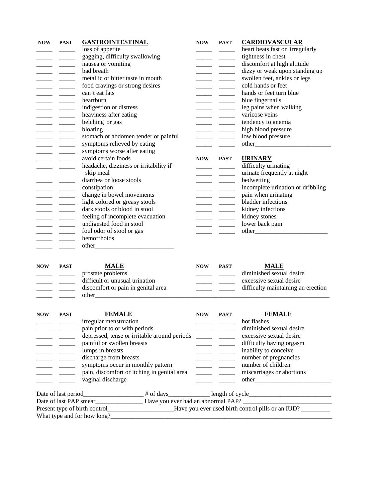| <b>NOW</b> | <b>PAST</b><br>$\overline{\phantom{a}}$ and $\overline{\phantom{a}}$<br>$\overline{\phantom{a}}$<br>$\frac{1}{1} \left( \frac{1}{1} \right) \left( \frac{1}{1} \right) \left( \frac{1}{1} \right) \left( \frac{1}{1} \right) \left( \frac{1}{1} \right) \left( \frac{1}{1} \right) \left( \frac{1}{1} \right) \left( \frac{1}{1} \right) \left( \frac{1}{1} \right) \left( \frac{1}{1} \right) \left( \frac{1}{1} \right) \left( \frac{1}{1} \right) \left( \frac{1}{1} \right) \left( \frac{1}{1} \right) \left( \frac{1}{1} \right) \left( \frac{1}{1} \right) \left( \frac$<br>$\begin{tabular}{ll} \multicolumn{1}{l}{} & \multicolumn{1}{l}{} & \multicolumn{1}{l}{} \\ \multicolumn{1}{l}{} & \multicolumn{1}{l}{} & \multicolumn{1}{l}{} \\ \multicolumn{1}{l}{} & \multicolumn{1}{l}{} & \multicolumn{1}{l}{} \\ \multicolumn{1}{l}{} & \multicolumn{1}{l}{} & \multicolumn{1}{l}{} \\ \multicolumn{1}{l}{} & \multicolumn{1}{l}{} & \multicolumn{1}{l}{} \\ \multicolumn{1}{l}{} & \multicolumn{1}{l}{} & \multicolumn{1}{l}{} \\ \multicolumn{1}{l}{} & \multic$<br>$\begin{tabular}{ll} \multicolumn{1}{l}{} & \multicolumn{1}{l}{} & \multicolumn{1}{l}{} \\ \multicolumn{1}{l}{} & \multicolumn{1}{l}{} & \multicolumn{1}{l}{} \\ \multicolumn{1}{l}{} & \multicolumn{1}{l}{} & \multicolumn{1}{l}{} \\ \multicolumn{1}{l}{} & \multicolumn{1}{l}{} & \multicolumn{1}{l}{} \\ \multicolumn{1}{l}{} & \multicolumn{1}{l}{} & \multicolumn{1}{l}{} \\ \multicolumn{1}{l}{} & \multicolumn{1}{l}{} & \multicolumn{1}{l}{} \\ \multicolumn{1}{l}{} & \multic$ | <b>GASTROINTESTINAL</b><br>loss of appetite<br>gagging, difficulty swallowing<br>nausea or vomiting<br>bad breath<br>metallic or bitter taste in mouth<br>food cravings or strong desires<br>can't eat fats<br>heartburn<br>indigestion or distress<br>heaviness after eating<br>belching or gas<br>bloating<br>stomach or abdomen tender or painful | <b>NOW</b> | <b>PAST</b><br>$\overline{\phantom{a}}$ and $\overline{\phantom{a}}$<br>$\begin{tabular}{ll} \multicolumn{1}{l}{} & \multicolumn{1}{l}{} & \multicolumn{1}{l}{} \\ \multicolumn{1}{l}{} & \multicolumn{1}{l}{} & \multicolumn{1}{l}{} \\ \multicolumn{1}{l}{} & \multicolumn{1}{l}{} & \multicolumn{1}{l}{} \\ \multicolumn{1}{l}{} & \multicolumn{1}{l}{} & \multicolumn{1}{l}{} \\ \multicolumn{1}{l}{} & \multicolumn{1}{l}{} & \multicolumn{1}{l}{} \\ \multicolumn{1}{l}{} & \multicolumn{1}{l}{} & \multicolumn{1}{l}{} \\ \multicolumn{1}{l}{} & \multic$<br>$\begin{array}{ccccccccc} \multicolumn{3}{c }{\multicolumn{3}{c }{\multicolumn{3}{c }{\multicolumn{3}{c }{\multicolumn{3}{c}}}} & \multicolumn{3}{c }{\multicolumn{3}{c }{\multicolumn{3}{c }{\multicolumn{3}{c}}}} & \multicolumn{3}{c }{\multicolumn{3}{c }{\multicolumn{3}{c }{\multicolumn{3}{c}}}} & \multicolumn{3}{c }{\multicolumn{3}{c }{\multicolumn{3}{c }{\multicolumn{3}{c}}}} & \multicolumn{3}{c }{\multicolumn{3}{c }{\multicolumn{3}{c }{\multicolumn{3}{$<br>$\frac{1}{1}$<br>$\begin{array}{ccccccccc} \multicolumn{3}{c }{\multicolumn{3}{c }{\multicolumn{3}{c }{\multicolumn{3}{c }{\multicolumn{3}{c}}}} & \multicolumn{3}{c }{\multicolumn{3}{c }{\multicolumn{3}{c }{\multicolumn{3}{c}}}} & \multicolumn{3}{c }{\multicolumn{3}{c }{\multicolumn{3}{c }{\multicolumn{3}{c}}}} & \multicolumn{3}{c }{\multicolumn{3}{c }{\multicolumn{3}{c }{\multicolumn{3}{c}}}} & \multicolumn{3}{c }{\multicolumn{3}{c }{\multicolumn{3}{c }{\multicolumn{3}{$ | <b>CARDIOVASCULAR</b><br>heart beats fast or irregularly<br>tightness in chest<br>discomfort at high altitude<br>dizzy or weak upon standing up<br>swollen feet, ankles or legs<br>cold hands or feet<br>hands or feet turn blue<br>blue fingernails<br>leg pains when walking<br>varicose veins<br>tendency to anemia<br>high blood pressure<br>low blood pressure |  |  |  |  |
|------------|------------------------------------------------------------------------------------------------------------------------------------------------------------------------------------------------------------------------------------------------------------------------------------------------------------------------------------------------------------------------------------------------------------------------------------------------------------------------------------------------------------------------------------------------------------------------------------------------------------------------------------------------------------------------------------------------------------------------------------------------------------------------------------------------------------------------------------------------------------------------------------------------------------------------------------------------------------------------------------------------------------------------------------------------------------------------------------------------------------------------------------------------------------------------------------------------------------------------------------------------------------------------------------------------------------------------------------------------------------------------------------------------------------------------------------------------------------------------------------------------------------------------------------------------------------------------|------------------------------------------------------------------------------------------------------------------------------------------------------------------------------------------------------------------------------------------------------------------------------------------------------------------------------------------------------|------------|-------------------------------------------------------------------------------------------------------------------------------------------------------------------------------------------------------------------------------------------------------------------------------------------------------------------------------------------------------------------------------------------------------------------------------------------------------------------------------------------------------------------------------------------------------------------------------------------------------------------------------------------------------------------------------------------------------------------------------------------------------------------------------------------------------------------------------------------------------------------------------------------------------------------------------------------------------------------------------------------------------------------------------------------------------------------------------------------------------------------------------------------------------------------------------------------------------------------------------------------------------------------------------------------------------------------------------------------------------------------------------------------------------------------------------------------------------------------------------------------------------------------------------------------------|---------------------------------------------------------------------------------------------------------------------------------------------------------------------------------------------------------------------------------------------------------------------------------------------------------------------------------------------------------------------|--|--|--|--|
|            |                                                                                                                                                                                                                                                                                                                                                                                                                                                                                                                                                                                                                                                                                                                                                                                                                                                                                                                                                                                                                                                                                                                                                                                                                                                                                                                                                                                                                                                                                                                                                                        | symptoms relieved by eating<br>symptoms worse after eating                                                                                                                                                                                                                                                                                           |            |                                                                                                                                                                                                                                                                                                                                                                                                                                                                                                                                                                                                                                                                                                                                                                                                                                                                                                                                                                                                                                                                                                                                                                                                                                                                                                                                                                                                                                                                                                                                                 |                                                                                                                                                                                                                                                                                                                                                                     |  |  |  |  |
|            |                                                                                                                                                                                                                                                                                                                                                                                                                                                                                                                                                                                                                                                                                                                                                                                                                                                                                                                                                                                                                                                                                                                                                                                                                                                                                                                                                                                                                                                                                                                                                                        | avoid certain foods<br>headache, dizziness or irritability if<br>skip meal                                                                                                                                                                                                                                                                           | <b>NOW</b> | <b>PAST</b><br>$\begin{tabular}{ll} \multicolumn{1}{l}{} & \multicolumn{1}{l}{} & \multicolumn{1}{l}{} \\ \multicolumn{1}{l}{} & \multicolumn{1}{l}{} & \multicolumn{1}{l}{} \\ \multicolumn{1}{l}{} & \multicolumn{1}{l}{} & \multicolumn{1}{l}{} \\ \multicolumn{1}{l}{} & \multicolumn{1}{l}{} & \multicolumn{1}{l}{} \\ \multicolumn{1}{l}{} & \multicolumn{1}{l}{} & \multicolumn{1}{l}{} \\ \multicolumn{1}{l}{} & \multicolumn{1}{l}{} & \multicolumn{1}{l}{} \\ \multicolumn{1}{l}{} & \multic$<br>$\overline{\phantom{a}}$                                                                                                                                                                                                                                                                                                                                                                                                                                                                                                                                                                                                                                                                                                                                                                                                                                                                                                                                                                                                             | <b>URINARY</b><br>difficulty urinating<br>urinate frequently at night                                                                                                                                                                                                                                                                                               |  |  |  |  |
|            |                                                                                                                                                                                                                                                                                                                                                                                                                                                                                                                                                                                                                                                                                                                                                                                                                                                                                                                                                                                                                                                                                                                                                                                                                                                                                                                                                                                                                                                                                                                                                                        | diarrhea or loose stools                                                                                                                                                                                                                                                                                                                             |            |                                                                                                                                                                                                                                                                                                                                                                                                                                                                                                                                                                                                                                                                                                                                                                                                                                                                                                                                                                                                                                                                                                                                                                                                                                                                                                                                                                                                                                                                                                                                                 | bedwetting                                                                                                                                                                                                                                                                                                                                                          |  |  |  |  |
|            |                                                                                                                                                                                                                                                                                                                                                                                                                                                                                                                                                                                                                                                                                                                                                                                                                                                                                                                                                                                                                                                                                                                                                                                                                                                                                                                                                                                                                                                                                                                                                                        | constipation                                                                                                                                                                                                                                                                                                                                         |            |                                                                                                                                                                                                                                                                                                                                                                                                                                                                                                                                                                                                                                                                                                                                                                                                                                                                                                                                                                                                                                                                                                                                                                                                                                                                                                                                                                                                                                                                                                                                                 | incomplete urination or dribbling                                                                                                                                                                                                                                                                                                                                   |  |  |  |  |
|            | $\overline{\phantom{a}}$ and $\overline{\phantom{a}}$ and $\overline{\phantom{a}}$                                                                                                                                                                                                                                                                                                                                                                                                                                                                                                                                                                                                                                                                                                                                                                                                                                                                                                                                                                                                                                                                                                                                                                                                                                                                                                                                                                                                                                                                                     | change in bowel movements                                                                                                                                                                                                                                                                                                                            |            | $\begin{tabular}{ll} \multicolumn{1}{l}{} & \multicolumn{1}{l}{} & \multicolumn{1}{l}{} \\ \multicolumn{1}{l}{} & \multicolumn{1}{l}{} & \multicolumn{1}{l}{} \\ \multicolumn{1}{l}{} & \multicolumn{1}{l}{} & \multicolumn{1}{l}{} \\ \multicolumn{1}{l}{} & \multicolumn{1}{l}{} & \multicolumn{1}{l}{} \\ \multicolumn{1}{l}{} & \multicolumn{1}{l}{} & \multicolumn{1}{l}{} \\ \multicolumn{1}{l}{} & \multicolumn{1}{l}{} & \multicolumn{1}{l}{} \\ \multicolumn{1}{l}{} & \multic$                                                                                                                                                                                                                                                                                                                                                                                                                                                                                                                                                                                                                                                                                                                                                                                                                                                                                                                                                                                                                                                        | pain when urinating                                                                                                                                                                                                                                                                                                                                                 |  |  |  |  |
|            | $\overline{\phantom{a}}$                                                                                                                                                                                                                                                                                                                                                                                                                                                                                                                                                                                                                                                                                                                                                                                                                                                                                                                                                                                                                                                                                                                                                                                                                                                                                                                                                                                                                                                                                                                                               | light colored or greasy stools<br>dark stools or blood in stool                                                                                                                                                                                                                                                                                      |            |                                                                                                                                                                                                                                                                                                                                                                                                                                                                                                                                                                                                                                                                                                                                                                                                                                                                                                                                                                                                                                                                                                                                                                                                                                                                                                                                                                                                                                                                                                                                                 | bladder infections<br>kidney infections                                                                                                                                                                                                                                                                                                                             |  |  |  |  |
|            | $\begin{array}{ccccccccc} \textbf{1} & \textbf{1} & \textbf{1} & \textbf{1} & \textbf{1} & \textbf{1} & \textbf{1} & \textbf{1} & \textbf{1} & \textbf{1} & \textbf{1} & \textbf{1} & \textbf{1} & \textbf{1} & \textbf{1} & \textbf{1} & \textbf{1} & \textbf{1} & \textbf{1} & \textbf{1} & \textbf{1} & \textbf{1} & \textbf{1} & \textbf{1} & \textbf{1} & \textbf{1} & \textbf{1} & \textbf{1} & \textbf{1} & \textbf{1} & \$                                                                                                                                                                                                                                                                                                                                                                                                                                                                                                                                                                                                                                                                                                                                                                                                                                                                                                                                                                                                                                                                                                                                     | feeling of incomplete evacuation                                                                                                                                                                                                                                                                                                                     |            |                                                                                                                                                                                                                                                                                                                                                                                                                                                                                                                                                                                                                                                                                                                                                                                                                                                                                                                                                                                                                                                                                                                                                                                                                                                                                                                                                                                                                                                                                                                                                 | kidney stones                                                                                                                                                                                                                                                                                                                                                       |  |  |  |  |
|            |                                                                                                                                                                                                                                                                                                                                                                                                                                                                                                                                                                                                                                                                                                                                                                                                                                                                                                                                                                                                                                                                                                                                                                                                                                                                                                                                                                                                                                                                                                                                                                        | undigested food in stool                                                                                                                                                                                                                                                                                                                             |            |                                                                                                                                                                                                                                                                                                                                                                                                                                                                                                                                                                                                                                                                                                                                                                                                                                                                                                                                                                                                                                                                                                                                                                                                                                                                                                                                                                                                                                                                                                                                                 | lower back pain                                                                                                                                                                                                                                                                                                                                                     |  |  |  |  |
|            |                                                                                                                                                                                                                                                                                                                                                                                                                                                                                                                                                                                                                                                                                                                                                                                                                                                                                                                                                                                                                                                                                                                                                                                                                                                                                                                                                                                                                                                                                                                                                                        | foul odor of stool or gas                                                                                                                                                                                                                                                                                                                            |            |                                                                                                                                                                                                                                                                                                                                                                                                                                                                                                                                                                                                                                                                                                                                                                                                                                                                                                                                                                                                                                                                                                                                                                                                                                                                                                                                                                                                                                                                                                                                                 |                                                                                                                                                                                                                                                                                                                                                                     |  |  |  |  |
|            |                                                                                                                                                                                                                                                                                                                                                                                                                                                                                                                                                                                                                                                                                                                                                                                                                                                                                                                                                                                                                                                                                                                                                                                                                                                                                                                                                                                                                                                                                                                                                                        | hemorrhoids                                                                                                                                                                                                                                                                                                                                          |            |                                                                                                                                                                                                                                                                                                                                                                                                                                                                                                                                                                                                                                                                                                                                                                                                                                                                                                                                                                                                                                                                                                                                                                                                                                                                                                                                                                                                                                                                                                                                                 |                                                                                                                                                                                                                                                                                                                                                                     |  |  |  |  |
|            |                                                                                                                                                                                                                                                                                                                                                                                                                                                                                                                                                                                                                                                                                                                                                                                                                                                                                                                                                                                                                                                                                                                                                                                                                                                                                                                                                                                                                                                                                                                                                                        |                                                                                                                                                                                                                                                                                                                                                      |            |                                                                                                                                                                                                                                                                                                                                                                                                                                                                                                                                                                                                                                                                                                                                                                                                                                                                                                                                                                                                                                                                                                                                                                                                                                                                                                                                                                                                                                                                                                                                                 |                                                                                                                                                                                                                                                                                                                                                                     |  |  |  |  |
| <b>NOW</b> | <b>PAST</b>                                                                                                                                                                                                                                                                                                                                                                                                                                                                                                                                                                                                                                                                                                                                                                                                                                                                                                                                                                                                                                                                                                                                                                                                                                                                                                                                                                                                                                                                                                                                                            | <b>MALE</b><br>prostate problems                                                                                                                                                                                                                                                                                                                     | <b>NOW</b> | <b>PAST</b>                                                                                                                                                                                                                                                                                                                                                                                                                                                                                                                                                                                                                                                                                                                                                                                                                                                                                                                                                                                                                                                                                                                                                                                                                                                                                                                                                                                                                                                                                                                                     | <b>MALE</b><br>diminished sexual desire                                                                                                                                                                                                                                                                                                                             |  |  |  |  |
|            |                                                                                                                                                                                                                                                                                                                                                                                                                                                                                                                                                                                                                                                                                                                                                                                                                                                                                                                                                                                                                                                                                                                                                                                                                                                                                                                                                                                                                                                                                                                                                                        | difficult or unusual urination                                                                                                                                                                                                                                                                                                                       |            |                                                                                                                                                                                                                                                                                                                                                                                                                                                                                                                                                                                                                                                                                                                                                                                                                                                                                                                                                                                                                                                                                                                                                                                                                                                                                                                                                                                                                                                                                                                                                 | excessive sexual desire                                                                                                                                                                                                                                                                                                                                             |  |  |  |  |
|            |                                                                                                                                                                                                                                                                                                                                                                                                                                                                                                                                                                                                                                                                                                                                                                                                                                                                                                                                                                                                                                                                                                                                                                                                                                                                                                                                                                                                                                                                                                                                                                        | discomfort or pain in genital area                                                                                                                                                                                                                                                                                                                   |            |                                                                                                                                                                                                                                                                                                                                                                                                                                                                                                                                                                                                                                                                                                                                                                                                                                                                                                                                                                                                                                                                                                                                                                                                                                                                                                                                                                                                                                                                                                                                                 | difficulty maintaining an erection                                                                                                                                                                                                                                                                                                                                  |  |  |  |  |
| <b>NOW</b> | <b>PAST</b>                                                                                                                                                                                                                                                                                                                                                                                                                                                                                                                                                                                                                                                                                                                                                                                                                                                                                                                                                                                                                                                                                                                                                                                                                                                                                                                                                                                                                                                                                                                                                            | <b>FEMALE</b><br>irregular menstruation                                                                                                                                                                                                                                                                                                              | <b>NOW</b> | <b>PAST</b>                                                                                                                                                                                                                                                                                                                                                                                                                                                                                                                                                                                                                                                                                                                                                                                                                                                                                                                                                                                                                                                                                                                                                                                                                                                                                                                                                                                                                                                                                                                                     | <b>FEMALE</b><br>hot flashes                                                                                                                                                                                                                                                                                                                                        |  |  |  |  |
|            |                                                                                                                                                                                                                                                                                                                                                                                                                                                                                                                                                                                                                                                                                                                                                                                                                                                                                                                                                                                                                                                                                                                                                                                                                                                                                                                                                                                                                                                                                                                                                                        | pain prior to or with periods                                                                                                                                                                                                                                                                                                                        |            |                                                                                                                                                                                                                                                                                                                                                                                                                                                                                                                                                                                                                                                                                                                                                                                                                                                                                                                                                                                                                                                                                                                                                                                                                                                                                                                                                                                                                                                                                                                                                 | diminished sexual desire                                                                                                                                                                                                                                                                                                                                            |  |  |  |  |
|            |                                                                                                                                                                                                                                                                                                                                                                                                                                                                                                                                                                                                                                                                                                                                                                                                                                                                                                                                                                                                                                                                                                                                                                                                                                                                                                                                                                                                                                                                                                                                                                        | depressed, tense or irritable around periods                                                                                                                                                                                                                                                                                                         |            |                                                                                                                                                                                                                                                                                                                                                                                                                                                                                                                                                                                                                                                                                                                                                                                                                                                                                                                                                                                                                                                                                                                                                                                                                                                                                                                                                                                                                                                                                                                                                 | excessive sexual desire                                                                                                                                                                                                                                                                                                                                             |  |  |  |  |
|            |                                                                                                                                                                                                                                                                                                                                                                                                                                                                                                                                                                                                                                                                                                                                                                                                                                                                                                                                                                                                                                                                                                                                                                                                                                                                                                                                                                                                                                                                                                                                                                        | painful or swollen breasts                                                                                                                                                                                                                                                                                                                           |            |                                                                                                                                                                                                                                                                                                                                                                                                                                                                                                                                                                                                                                                                                                                                                                                                                                                                                                                                                                                                                                                                                                                                                                                                                                                                                                                                                                                                                                                                                                                                                 | difficulty having orgasm                                                                                                                                                                                                                                                                                                                                            |  |  |  |  |
|            |                                                                                                                                                                                                                                                                                                                                                                                                                                                                                                                                                                                                                                                                                                                                                                                                                                                                                                                                                                                                                                                                                                                                                                                                                                                                                                                                                                                                                                                                                                                                                                        | lumps in breasts                                                                                                                                                                                                                                                                                                                                     |            | $\overline{\phantom{a}}$                                                                                                                                                                                                                                                                                                                                                                                                                                                                                                                                                                                                                                                                                                                                                                                                                                                                                                                                                                                                                                                                                                                                                                                                                                                                                                                                                                                                                                                                                                                        | inability to conceive                                                                                                                                                                                                                                                                                                                                               |  |  |  |  |
|            |                                                                                                                                                                                                                                                                                                                                                                                                                                                                                                                                                                                                                                                                                                                                                                                                                                                                                                                                                                                                                                                                                                                                                                                                                                                                                                                                                                                                                                                                                                                                                                        | discharge from breasts                                                                                                                                                                                                                                                                                                                               |            |                                                                                                                                                                                                                                                                                                                                                                                                                                                                                                                                                                                                                                                                                                                                                                                                                                                                                                                                                                                                                                                                                                                                                                                                                                                                                                                                                                                                                                                                                                                                                 | number of pregnancies                                                                                                                                                                                                                                                                                                                                               |  |  |  |  |
|            |                                                                                                                                                                                                                                                                                                                                                                                                                                                                                                                                                                                                                                                                                                                                                                                                                                                                                                                                                                                                                                                                                                                                                                                                                                                                                                                                                                                                                                                                                                                                                                        | symptoms occur in monthly pattern                                                                                                                                                                                                                                                                                                                    |            |                                                                                                                                                                                                                                                                                                                                                                                                                                                                                                                                                                                                                                                                                                                                                                                                                                                                                                                                                                                                                                                                                                                                                                                                                                                                                                                                                                                                                                                                                                                                                 | number of children                                                                                                                                                                                                                                                                                                                                                  |  |  |  |  |
|            |                                                                                                                                                                                                                                                                                                                                                                                                                                                                                                                                                                                                                                                                                                                                                                                                                                                                                                                                                                                                                                                                                                                                                                                                                                                                                                                                                                                                                                                                                                                                                                        | pain, discomfort or itching in genital area                                                                                                                                                                                                                                                                                                          |            | $\overline{\phantom{a}}$ . The contract of $\overline{\phantom{a}}$                                                                                                                                                                                                                                                                                                                                                                                                                                                                                                                                                                                                                                                                                                                                                                                                                                                                                                                                                                                                                                                                                                                                                                                                                                                                                                                                                                                                                                                                             | miscarriages or abortions                                                                                                                                                                                                                                                                                                                                           |  |  |  |  |
|            |                                                                                                                                                                                                                                                                                                                                                                                                                                                                                                                                                                                                                                                                                                                                                                                                                                                                                                                                                                                                                                                                                                                                                                                                                                                                                                                                                                                                                                                                                                                                                                        | vaginal discharge                                                                                                                                                                                                                                                                                                                                    |            |                                                                                                                                                                                                                                                                                                                                                                                                                                                                                                                                                                                                                                                                                                                                                                                                                                                                                                                                                                                                                                                                                                                                                                                                                                                                                                                                                                                                                                                                                                                                                 |                                                                                                                                                                                                                                                                                                                                                                     |  |  |  |  |
|            | Date of last period_                                                                                                                                                                                                                                                                                                                                                                                                                                                                                                                                                                                                                                                                                                                                                                                                                                                                                                                                                                                                                                                                                                                                                                                                                                                                                                                                                                                                                                                                                                                                                   | $\frac{1}{2}$ # of days $\frac{1}{2}$ length of cycle                                                                                                                                                                                                                                                                                                |            |                                                                                                                                                                                                                                                                                                                                                                                                                                                                                                                                                                                                                                                                                                                                                                                                                                                                                                                                                                                                                                                                                                                                                                                                                                                                                                                                                                                                                                                                                                                                                 |                                                                                                                                                                                                                                                                                                                                                                     |  |  |  |  |
|            |                                                                                                                                                                                                                                                                                                                                                                                                                                                                                                                                                                                                                                                                                                                                                                                                                                                                                                                                                                                                                                                                                                                                                                                                                                                                                                                                                                                                                                                                                                                                                                        |                                                                                                                                                                                                                                                                                                                                                      |            |                                                                                                                                                                                                                                                                                                                                                                                                                                                                                                                                                                                                                                                                                                                                                                                                                                                                                                                                                                                                                                                                                                                                                                                                                                                                                                                                                                                                                                                                                                                                                 |                                                                                                                                                                                                                                                                                                                                                                     |  |  |  |  |
|            |                                                                                                                                                                                                                                                                                                                                                                                                                                                                                                                                                                                                                                                                                                                                                                                                                                                                                                                                                                                                                                                                                                                                                                                                                                                                                                                                                                                                                                                                                                                                                                        | Present type of birth control______________________Have you ever used birth control pills or an IUD?                                                                                                                                                                                                                                                 |            |                                                                                                                                                                                                                                                                                                                                                                                                                                                                                                                                                                                                                                                                                                                                                                                                                                                                                                                                                                                                                                                                                                                                                                                                                                                                                                                                                                                                                                                                                                                                                 |                                                                                                                                                                                                                                                                                                                                                                     |  |  |  |  |
|            |                                                                                                                                                                                                                                                                                                                                                                                                                                                                                                                                                                                                                                                                                                                                                                                                                                                                                                                                                                                                                                                                                                                                                                                                                                                                                                                                                                                                                                                                                                                                                                        |                                                                                                                                                                                                                                                                                                                                                      |            |                                                                                                                                                                                                                                                                                                                                                                                                                                                                                                                                                                                                                                                                                                                                                                                                                                                                                                                                                                                                                                                                                                                                                                                                                                                                                                                                                                                                                                                                                                                                                 |                                                                                                                                                                                                                                                                                                                                                                     |  |  |  |  |